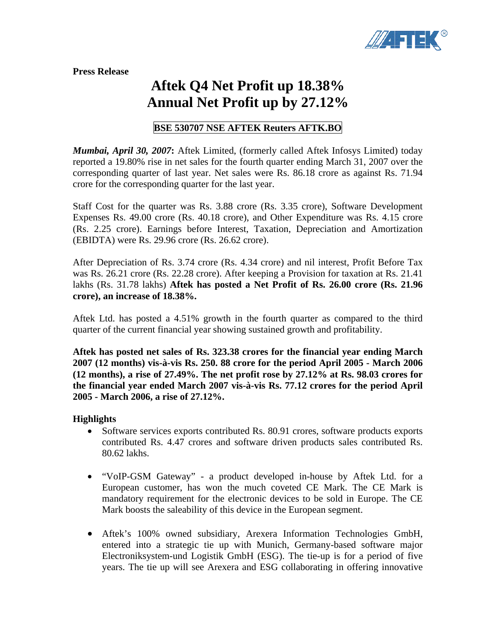

**Press Release** 

## **Aftek Q4 Net Profit up 18.38% Annual Net Profit up by 27.12%**

## **BSE 530707 NSE AFTEK Reuters AFTK.BO**

*Mumbai, April 30, 2007***:** Aftek Limited, (formerly called Aftek Infosys Limited) today reported a 19.80% rise in net sales for the fourth quarter ending March 31, 2007 over the corresponding quarter of last year. Net sales were Rs. 86.18 crore as against Rs. 71.94 crore for the corresponding quarter for the last year.

Staff Cost for the quarter was Rs. 3.88 crore (Rs. 3.35 crore), Software Development Expenses Rs. 49.00 crore (Rs. 40.18 crore), and Other Expenditure was Rs. 4.15 crore (Rs. 2.25 crore). Earnings before Interest, Taxation, Depreciation and Amortization (EBIDTA) were Rs. 29.96 crore (Rs. 26.62 crore).

After Depreciation of Rs. 3.74 crore (Rs. 4.34 crore) and nil interest, Profit Before Tax was Rs. 26.21 crore (Rs. 22.28 crore). After keeping a Provision for taxation at Rs. 21.41 lakhs (Rs. 31.78 lakhs) **Aftek has posted a Net Profit of Rs. 26.00 crore (Rs. 21.96 crore), an increase of 18.38%.**

Aftek Ltd. has posted a 4.51% growth in the fourth quarter as compared to the third quarter of the current financial year showing sustained growth and profitability.

**Aftek has posted net sales of Rs. 323.38 crores for the financial year ending March 2007 (12 months) vis-à-vis Rs. 250. 88 crore for the period April 2005 - March 2006 (12 months), a rise of 27.49%. The net profit rose by 27.12% at Rs. 98.03 crores for the financial year ended March 2007 vis-à-vis Rs. 77.12 crores for the period April 2005 - March 2006, a rise of 27.12%.** 

## **Highlights**

- Software services exports contributed Rs. 80.91 crores, software products exports contributed Rs. 4.47 crores and software driven products sales contributed Rs. 80.62 lakhs.
- "VoIP-GSM Gateway" a product developed in-house by Aftek Ltd. for a European customer, has won the much coveted CE Mark. The CE Mark is mandatory requirement for the electronic devices to be sold in Europe. The CE Mark boosts the saleability of this device in the European segment.
- Aftek's 100% owned subsidiary, Arexera Information Technologies GmbH, entered into a strategic tie up with Munich, Germany-based software major Electroniksystem-und Logistik GmbH (ESG). The tie-up is for a period of five years. The tie up will see Arexera and ESG collaborating in offering innovative